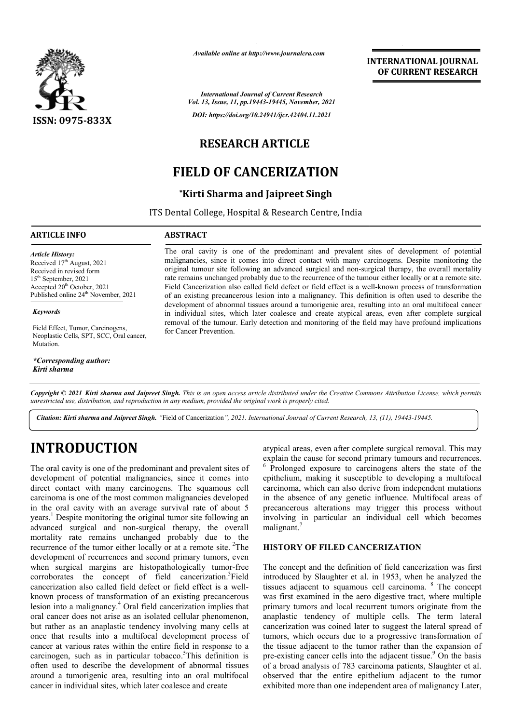

*Available online at http://www.journalcra.com*

*International Journal of Current Research Vol. 13, Issue, 11, pp.19443-19445, November, 2021 DOI: https://doi.org/10.24941/ijcr.42404.11.2021*

## **RESEARCH ARTICLE**

## **FIELD OF CANCERIZATION**

### **\*Kirti Kirti Sharma and Jaipreet Singh**

ITS Dental College, Hospital & Research Centre, India

#### **ARTICLE INFO ABSTRACT**

Received in revised form Received in revised form Received

Received 17<sup>th</sup> August, 2021

 $15<sup>th</sup> September, 2021$ Accepted  $20^{th}$  October, 2021 Published online 24<sup>th</sup> November, 2021

Field Effect, Tumor, Carcinogens, Neoplastic Cells, SPT, SCC, Oral cancer,

*\*Corresponding author:* 

*Article History: Article History:*

*Keywords*

Mutation.

*Kirti sharma*

The oral cavity is one of the predominant and prevalent sites of development of potential The oral cavity is one of the predominant and prevalent sites of development of potential malignancies, since it comes into direct contact with many carcinogens. Despite monitoring the original tumour site following an advanced surgical and non-surgical therapy, the overall mortality rate remains unchanged probably due to the recurrence of the tumour either locally or at a remote site. rate remains unchanged probably due to the recurrence of the tumour either locally or at a remote site.<br>Field Cancerization also called field defect or field effect is a well-known process of transformation of an existing precancerous lesion into a malignancy. This definition is often used to describe the development of abnormal tissues around a tumorigenic area, resulting into an oral multifocal cancer in individual sites, which later coalesce and create atypical areas, even after complete surgical removal of the tumour. Early detection and monitoring of the field may have profound implications for Cancer Prevention. of an existing precancerous lesion into a malignancy. This definition is often used to describe the development of abnormal tissues around a tumorigenic area, resulting into an oral multifocal cancer in individual sites, w

Copyright © 2021 Kirti sharma and Jaipreet Singh. This is an open access article distributed under the Creative Commons Attribution License, which permits *unrestricted use, distribution, and reproduction in any medium, provided the original work is properly cited.*

Citation: Kirti sharma and Jaipreet Singh. "Field of Cancerization", 2021. International Journal of Current Research, 13, (11), 19443-19445.

# **INTRODUCTION**

The oral cavity is one of the predominant and prevalent sites of development of potential malignancies, since it comes into direct contact with many carcinogens. The squamous cell carcinoma is one of the most common malignancies developed in the oral cavity with an average survival rate of about 5 years.<sup>1</sup> Despite monitoring the original tumor site following an advanced surgical and non-surgical therapy, the overall mortality rate remains unchanged probably due to the recurrence of the tumor either locally or at a remote site. <sup>2</sup>The development of recurrences and second primary tumors, even when surgical margins are histopathologically tumor-free corroborates the concept of field cancerization.<sup>3</sup>Field cancerization also called field defect or field effect is a wellknown process of transformation of an existing precancerous lesion into a malignancy.4 Oral field cancerization implies that oral cancer does not arise as an isolated cellular phenomenon, but rather as an anaplastic tendency involving many cells at once that results into a multifocal development process of cancer at various rates within the entire field in response to a oral cancer does not arise as an isolated cellular phenomenon,<br>but rather as an anaplastic tendency involving many cells at<br>once that results into a multifocal development process of<br>cancer at various rates within the enti often used to describe the development of abnormal tissues around a tumorigenic area, resulting into an oral multifocal cancer in individual sites, which later coalesce and create

atypical areas, even after complete surgical removal. This may explain the cause for second primary tumours and recurrences. <sup>6</sup> Prolonged exposure to carcinogens alters the state of the epithelium, making it susceptible to developing a multifocal carcinoma, which can also derive from independ in the absence of any genetic influence. Multifocal areas of in the absence of any genetic influence. Multifocal areas of precancerous alterations may trigger this process without involving in particular an individual cell which becomes malignant. explain the cause for second primary tumours and recurrences.<br><sup>6</sup> Prolonged exposure to carcinogens alters the state of the epithelium, making it susceptible to developing a multifocal carcinoma, which can also derive from

#### **HISTORY OF FILED CANCERIZATION HISTORY OF**

The concept and the definition of field cancerization was first introduced by Slaughter et al. in 1953, when he analyzed the The concept and the definition of field cancerization was first introduced by Slaughter et al. in 1953, when he analyzed the tissues adjacent to squamous cell carcinoma. <sup>8</sup> The concept was first examined in the aero digestive tract, where multiple was first examined in the aero digestive tract, where multiple primary tumors and local recurrent tumors originate from the anaplastic tendency of multiple cells. The term lateral cancerization was coined later to suggest the lateral spread of tumors, which occurs due to a progressive transformation of the tissue adjacent to the tumor rather than the expansion of pre-existing cancer cells into the adjacent tissue.<sup>9</sup> On the basis of a broad analysis of 783 carcinoma patients, Slaughter et al. observed that the entire epithelium adjacent to the tumor exhibited more than one independent area of malignancy Later, ic tendency of multiple cells. The term lateral<br>ation was coined later to suggest the lateral spread of<br>which occurs due to a progressive transformation of<br>e adjacent to the tumor rather than the expansion of a broad analysis of 783 carcinoma patients, Slaughter et al.<br>served that the entire epithelium adjacent to the tumor<br>nibited more than one independent area of malignancy Later,

**INTERNATIONAL JOURNAL OF CURRENT RESEARCH**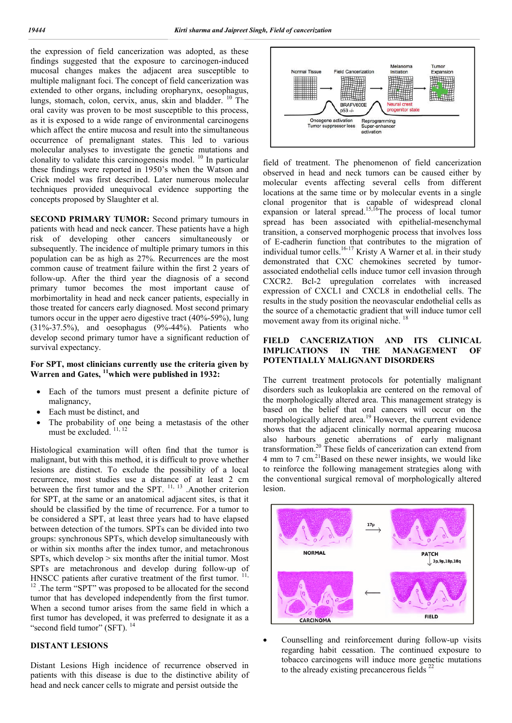the expression of field cancerization was adopted, as these findings suggested that the exposure to carcinogen-induced mucosal changes makes the adjacent area susceptible to multiple malignant foci. The concept of field cancerization was extended to other organs, including oropharynx, oesophagus, lungs, stomach, colon, cervix, anus, skin and bladder. <sup>10</sup> The oral cavity was proven to be most susceptible to this process, as it is exposed to a wide range of environmental carcinogens which affect the entire mucosa and result into the simultaneous occurrence of premalignant states. This led to various molecular analyses to investigate the genetic mutations and clonality to validate this carcinogenesis model.  $^{10}$  In particular these findings were reported in 1950's when the Watson and Crick model was first described. Later numerous molecular techniques provided unequivocal evidence supporting the concepts proposed by Slaughter et al.

**SECOND PRIMARY TUMOR:** Second primary tumours in patients with head and neck cancer. These patients have a high risk of developing other cancers simultaneously or subsequently. The incidence of multiple primary tumors in this population can be as high as 27%. Recurrences are the most common cause of treatment failure within the first 2 years of follow-up. After the third year the diagnosis of a second primary tumor becomes the most important cause of morbimortality in head and neck cancer patients, especially in those treated for cancers early diagnosed. Most second primary tumors occur in the upper aero digestive tract (40%-59%), lung (31%-37.5%), and oesophagus (9%-44%). Patients who develop second primary tumor have a significant reduction of survival expectancy.

#### **For SPT, most clinicians currently use the criteria given by Warren and Gates, 11which were published in 1932:**

- Each of the tumors must present a definite picture of malignancy,
- Each must be distinct, and
- The probability of one being a metastasis of the other must be excluded. <sup>11, 12</sup>

Histological examination will often find that the tumor is malignant, but with this method, it is difficult to prove whether lesions are distinct. To exclude the possibility of a local recurrence, most studies use a distance of at least 2 cm between the first tumor and the SPT.  $^{11, 13}$ . Another criterion for SPT, at the same or an anatomical adjacent sites, is that it should be classified by the time of recurrence. For a tumor to be considered a SPT, at least three years had to have elapsed between detection of the tumors. SPTs can be divided into two groups: synchronous SPTs, which develop simultaneously with or within six months after the index tumor, and metachronous SPTs, which develop > six months after the initial tumor. Most SPTs are metachronous and develop during follow-up of HNSCC patients after curative treatment of the first tumor.<sup>11,</sup> <sup>12</sup>. The term "SPT" was proposed to be allocated for the second tumor that has developed independently from the first tumor. When a second tumor arises from the same field in which a first tumor has developed, it was preferred to designate it as a "second field tumor" (SFT).<sup>14</sup>

#### **DISTANT LESIONS**

Distant Lesions High incidence of recurrence observed in patients with this disease is due to the distinctive ability of head and neck cancer cells to migrate and persist outside the



field of treatment. The phenomenon of field cancerization observed in head and neck tumors can be caused either by molecular events affecting several cells from different locations at the same time or by molecular events in a single clonal progenitor that is capable of widespread clonal expansion or lateral spread.<sup>15,16</sup>The process of local tumor spread has been associated with epithelial-mesenchymal transition, a conserved morphogenic process that involves loss of E-cadherin function that contributes to the migration of individual tumor cells.<sup>16-17</sup> Kristy A Warner et al. in their study demonstrated that CXC chemokines secreted by tumorassociated endothelial cells induce tumor cell invasion through CXCR2. Bcl-2 upregulation correlates with increased expression of CXCL1 and CXCL8 in endothelial cells. The results in the study position the neovascular endothelial cells as the source of a chemotactic gradient that will induce tumor cell movement away from its original niche.<sup>18</sup>

#### **FIELD CANCERIZATION AND ITS CLINICAL IMPLICATIONS IN THE MANAGEMENT OF POTENTIALLY MALIGNANT DISORDERS**

The current treatment protocols for potentially malignant disorders such as leukoplakia are centered on the removal of the morphologically altered area. This management strategy is based on the belief that oral cancers will occur on the morphologically altered area.<sup>19</sup> However, the current evidence shows that the adjacent clinically normal appearing mucosa also harbours genetic aberrations of early malignant transformation.<sup>20</sup> These fields of cancerization can extend from 4 mm to 7 cm. $^{21}$ Based on these newer insights, we would like to reinforce the following management strategies along with the conventional surgical removal of morphologically altered lesion.



 Counselling and reinforcement during follow-up visits regarding habit cessation. The continued exposure to tobacco carcinogens will induce more genetic mutations to the already existing precancerous fields<sup>22</sup>